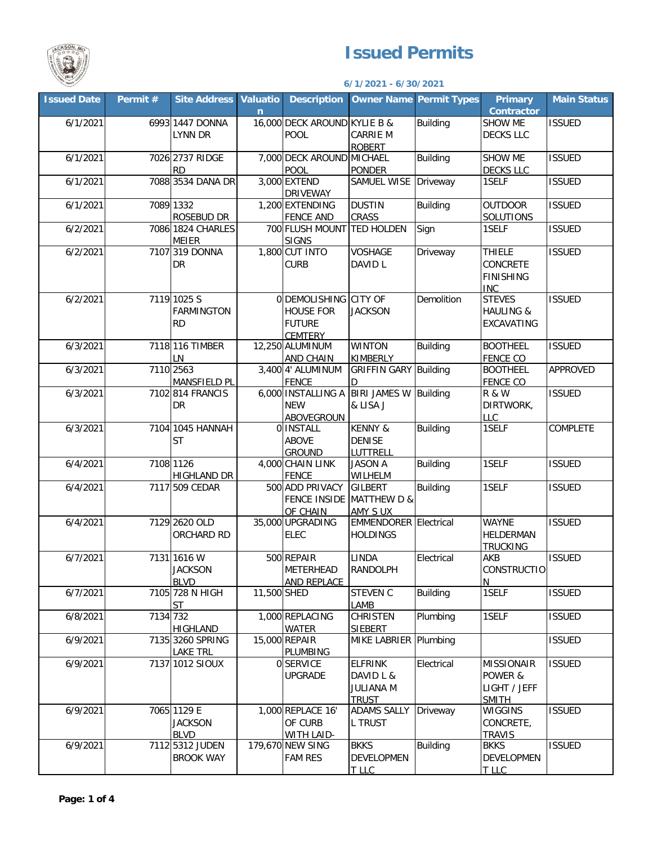

## **Issued Permits**

## **6/1/2021 - 6/30/2021**

| <b>Issued Date</b> | Permit # | <b>Site Address</b>                           | <b>Valuatio</b> | <b>Description</b>                                                           |                                                                 | <b>Owner Name Permit Types</b> | <b>Primary</b>                                               | <b>Main Status</b> |
|--------------------|----------|-----------------------------------------------|-----------------|------------------------------------------------------------------------------|-----------------------------------------------------------------|--------------------------------|--------------------------------------------------------------|--------------------|
|                    |          |                                               | $\mathbf n$     |                                                                              |                                                                 |                                | <b>Contractor</b>                                            |                    |
| 6/1/2021           |          | 6993 1447 DONNA<br><b>LYNN DR</b>             |                 | 16,000 DECK AROUND KYLIE B &<br><b>POOL</b>                                  | CARRIE M<br><b>ROBERT</b>                                       | <b>Building</b>                | <b>SHOW ME</b><br><b>DECKS LLC</b>                           | <b>ISSUED</b>      |
| 6/1/2021           |          | 7026 2737 RIDGE<br><b>RD</b>                  |                 | 7,000 DECK AROUND MICHAEL<br>POOL                                            | <b>PONDER</b>                                                   | <b>Building</b>                | <b>SHOW ME</b><br><b>DECKS LLC</b>                           | <b>ISSUED</b>      |
| 6/1/2021           |          | 7088 3534 DANA DR                             |                 | 3,000 EXTEND<br><b>DRIVEWAY</b>                                              | SAMUEL WISE Driveway                                            |                                | 1SELF                                                        | <b>ISSUED</b>      |
| 6/1/2021           |          | 7089 1332<br>ROSEBUD DR                       |                 | 1,200 EXTENDING<br><b>FENCE AND</b>                                          | <b>DUSTIN</b><br><b>CRASS</b>                                   | <b>Building</b>                | <b>OUTDOOR</b><br>SOLUTIONS                                  | <b>ISSUED</b>      |
| 6/2/2021           |          | 7086 1824 CHARLES<br><b>MEIER</b>             |                 | 700 FLUSH MOUNT<br><b>SIGNS</b>                                              | <b>TED HOLDEN</b>                                               | Sign                           | 1SELF                                                        | <b>ISSUED</b>      |
| 6/2/2021           |          | 7107 319 DONNA<br>DR                          |                 | 1,800 CUT INTO<br><b>CURB</b>                                                | VOSHAGE<br>DAVID L                                              | Driveway                       | <b>THIELE</b><br>CONCRETE<br><b>FINISHING</b><br><b>INC</b>  | <b>ISSUED</b>      |
| 6/2/2021           |          | 7119 1025 S<br><b>FARMINGTON</b><br><b>RD</b> |                 | 0 DEMOLISHING CITY OF<br><b>HOUSE FOR</b><br><b>FUTURE</b><br><b>CEMTERY</b> | <b>JACKSON</b>                                                  | Demolition                     | <b>STEVES</b><br><b>HAULING &amp;</b><br>EXCAVATING          | <b>ISSUED</b>      |
| 6/3/2021           |          | 7118 116 TIMBER<br>LN                         |                 | 12,250 ALUMINUM<br><b>AND CHAIN</b>                                          | <b>WINTON</b><br>KIMBERLY                                       | <b>Building</b>                | <b>BOOTHEEL</b><br><b>FENCE CO</b>                           | <b>ISSUED</b>      |
| 6/3/2021           |          | 7110 2563<br>MANSFIELD PL                     |                 | $3,400$ 4' ALUMINUM<br><b>FENCE</b>                                          | <b>GRIFFIN GARY Building</b><br>D                               |                                | <b>BOOTHEEL</b><br><b>FENCE CO</b>                           | APPROVED           |
| 6/3/2021           |          | 7102 814 FRANCIS<br>DR                        |                 | 6,000 INSTALLING A<br><b>NEW</b><br>ABOVEGROUN                               | BIRI JAMES W Building<br>& LISA J                               |                                | <b>R &amp; W</b><br>DIRTWORK,<br><b>LLC</b>                  | <b>ISSUED</b>      |
| 6/3/2021           |          | 7104 1045 HANNAH<br><b>ST</b>                 |                 | 0 INSTALL<br><b>ABOVE</b><br><b>GROUND</b>                                   | <b>KENNY &amp;</b><br><b>DENISE</b><br>LUTTRELL                 | <b>Building</b>                | 1SELF                                                        | <b>COMPLETE</b>    |
| 6/4/2021           |          | 7108 1126<br>HIGHLAND DR                      |                 | 4,000 CHAIN LINK<br><b>FENCE</b>                                             | <b>JASON A</b><br>WILHELM                                       | Building                       | 1SELF                                                        | <b>ISSUED</b>      |
| 6/4/2021           |          | 7117 509 CEDAR                                |                 | 500 ADD PRIVACY<br>OF CHAIN                                                  | <b>GILBERT</b><br>FENCE INSIDE MATTHEW D &<br>AMY S UX          | <b>Building</b>                | 1SELF                                                        | <b>ISSUED</b>      |
| 6/4/2021           |          | 7129 2620 OLD<br>ORCHARD RD                   |                 | 35,000 UPGRADING<br><b>ELEC</b>                                              | <b>EMMENDORER</b> Electrical<br><b>HOLDINGS</b>                 |                                | <b>WAYNE</b><br>HELDERMAN<br><b>TRUCKING</b>                 | <b>ISSUED</b>      |
| 6/7/2021           |          | 7131 1616 W<br><b>JACKSON</b><br><b>BLVD</b>  |                 | 500 REPAIR<br>METERHEAD<br>AND REPLACE                                       | <b>LINDA</b><br>RANDOLPH                                        | Electrical                     | AKB<br><b>CONSTRUCTIO</b><br>N                               | <b>ISSUED</b>      |
| 6/7/2021           |          | 7105 728 N HIGH<br><b>ST</b>                  | 11,500 SHED     |                                                                              | <b>STEVEN C</b><br>LAMB                                         | <b>Building</b>                | 1SELF                                                        | <b>ISSUED</b>      |
| 6/8/2021           | 7134 732 | <b>HIGHLAND</b>                               |                 | 1,000 REPLACING<br><b>WATER</b>                                              | <b>CHRISTEN</b><br><b>SIEBERT</b>                               | Plumbing                       | 1SELF                                                        | <b>ISSUED</b>      |
| 6/9/2021           |          | 7135 3260 SPRING<br>LAKE TRL                  |                 | 15,000 REPAIR<br><b>PLUMBING</b>                                             | MIKE LABRIER Plumbing                                           |                                |                                                              | <b>ISSUED</b>      |
| 6/9/2021           |          | 7137 1012 SIOUX                               |                 | 0 SERVICE<br><b>UPGRADE</b>                                                  | <b>ELFRINK</b><br>DAVID L &<br><b>JULIANA M</b><br><b>TRUST</b> | Electrical                     | <b>MISSIONAIR</b><br>POWER &<br>LIGHT / JEFF<br><b>SMITH</b> | <b>ISSUED</b>      |
| 6/9/2021           |          | 7065 1129 E<br><b>JACKSON</b><br><b>BLVD</b>  |                 | 1,000 REPLACE 16'<br>OF CURB<br><b>WITH LAID-</b>                            | <b>ADAMS SALLY</b><br><b>L TRUST</b>                            | Driveway                       | <b>WIGGINS</b><br>CONCRETE,<br><b>TRAVIS</b>                 | <b>ISSUED</b>      |
| 6/9/2021           |          | 7112 5312 JUDEN<br><b>BROOK WAY</b>           |                 | 179,670 NEW SING<br><b>FAM RES</b>                                           | <b>BKKS</b><br><b>DEVELOPMEN</b><br>T LLC                       | <b>Building</b>                | <b>BKKS</b><br>DEVELOPMEN<br>T LLC                           | <b>ISSUED</b>      |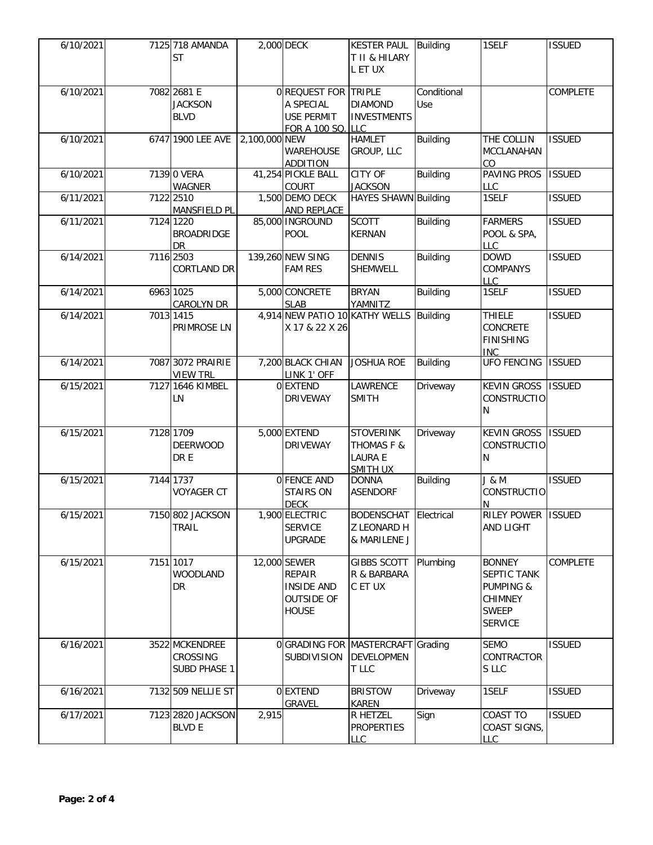| 6/10/2021 | 7125 718 AMANDA                  |               | 2,000 DECK                        | <b>KESTER PAUL Building</b>  |                 | 1SELF                            | <b>ISSUED</b> |
|-----------|----------------------------------|---------------|-----------------------------------|------------------------------|-----------------|----------------------------------|---------------|
|           | <b>ST</b>                        |               |                                   | T II & HILARY                |                 |                                  |               |
|           |                                  |               |                                   | L ET UX                      |                 |                                  |               |
| 6/10/2021 | 7082 2681 E                      |               | 0 REQUEST FOR TRIPLE              |                              | Conditional     |                                  | COMPLETE      |
|           | <b>JACKSON</b>                   |               | A SPECIAL                         | <b>DIAMOND</b>               | Use             |                                  |               |
|           | <b>BLVD</b>                      |               | <b>USE PERMIT</b>                 | <b>INVESTMENTS</b>           |                 |                                  |               |
| 6/10/2021 | 6747 1900 LEE AVE                | 2,100,000 NEW | FOR A 100 SQ. LLC                 | <b>HAMLET</b>                | <b>Building</b> | THE COLLIN                       | <b>ISSUED</b> |
|           |                                  |               | <b>WAREHOUSE</b>                  | <b>GROUP, LLC</b>            |                 | MCCLANAHAN                       |               |
|           |                                  |               | <b>ADDITION</b>                   |                              |                 | CO                               |               |
| 6/10/2021 | 7139 0 VERA                      |               | 41,254 PICKLE BALL                | <b>CITY OF</b>               | <b>Building</b> | PAVING PROS                      | <b>ISSUED</b> |
|           | WAGNER                           |               | <b>COURT</b>                      | <b>JACKSON</b>               |                 | LLC                              |               |
| 6/11/2021 | 7122 2510<br><b>MANSFIELD PL</b> |               | 1,500 DEMO DECK<br>AND REPLACE    | HAYES SHAWN Building         |                 | 1SELF                            | <b>ISSUED</b> |
| 6/11/2021 | 7124 1220                        |               | 85,000 INGROUND                   | SCOTT                        | <b>Building</b> | <b>FARMERS</b>                   | <b>ISSUED</b> |
|           | <b>BROADRIDGE</b>                |               | <b>POOL</b>                       | <b>KERNAN</b>                |                 | POOL & SPA,                      |               |
|           | <b>DR</b>                        |               |                                   |                              |                 | <b>LLC</b>                       |               |
| 6/14/2021 | 7116 2503                        |               | 139,260 NEW SING                  | <b>DENNIS</b>                | <b>Building</b> | <b>DOWD</b>                      | <b>ISSUED</b> |
|           | CORTLAND DR                      |               | <b>FAM RES</b>                    | <b>SHEMWELL</b>              |                 | <b>COMPANYS</b>                  |               |
| 6/14/2021 | 6963 1025                        |               | 5,000 CONCRETE                    | <b>BRYAN</b>                 | <b>Building</b> | LLC<br>1SELF                     | <b>ISSUED</b> |
|           | CAROLYN DR                       |               | <b>SLAB</b>                       | YAMNITZ                      |                 |                                  |               |
| 6/14/2021 | 7013 1415                        |               | 4.914 NEW PATIO 10 KATHY WELLS    |                              | <b>Building</b> | <b>THIELE</b>                    | <b>ISSUED</b> |
|           | PRIMROSE LN                      |               | X 17 & 22 X 26                    |                              |                 | CONCRETE                         |               |
|           |                                  |               |                                   |                              |                 | <b>FINISHING</b>                 |               |
| 6/14/2021 | 7087 3072 PRAIRIE                |               | 7,200 BLACK CHIAN                 | <b>JOSHUA ROE</b>            | <b>Building</b> | <b>INC</b><br>UFO FENCING ISSUED |               |
|           | <b>VIEW TRL</b>                  |               | LINK 1' OFF                       |                              |                 |                                  |               |
| 6/15/2021 | 7127 1646 KIMBEL                 |               | 0 EXTEND                          | LAWRENCE                     | Driveway        | <b>KEVIN GROSS</b>               | <b>ISSUED</b> |
|           | LN                               |               | <b>DRIVEWAY</b>                   | <b>SMITH</b>                 |                 | <b>CONSTRUCTIO</b>               |               |
|           |                                  |               |                                   |                              |                 | N                                |               |
| 6/15/2021 | 7128 1709                        |               | 5,000 EXTEND                      | <b>STOVERINK</b>             | Driveway        | <b>KEVIN GROSS ISSUED</b>        |               |
|           | <b>DEERWOOD</b>                  |               | <b>DRIVEWAY</b>                   | <b>THOMAS F &amp;</b>        |                 | CONSTRUCTIO                      |               |
|           | DR E                             |               |                                   | <b>LAURA E</b>               |                 | N                                |               |
| 6/15/2021 | 7144 1737                        |               | OFENCE AND                        | SMITH UX<br><b>DONNA</b>     | <b>Building</b> | J & M                            | <b>ISSUED</b> |
|           | <b>VOYAGER CT</b>                |               | <b>STAIRS ON</b>                  | <b>ASENDORF</b>              |                 | <b>CONSTRUCTIO</b>               |               |
|           |                                  |               | <b>DECK</b>                       |                              |                 | N                                |               |
| 6/15/2021 | 7150 802 JACKSON                 |               | 1,900 ELECTRIC                    | <b>BODENSCHAT</b> Electrical |                 | <b>RILEY POWER ISSUED</b>        |               |
|           | TRAIL                            |               | <b>SERVICE</b>                    | <b>Z LEONARD H</b>           |                 | AND LIGHT                        |               |
|           |                                  |               | <b>UPGRADE</b>                    | & MARILENE J                 |                 |                                  |               |
| 6/15/2021 | 7151 1017                        |               | 12,000 SEWER                      | <b>GIBBS SCOTT</b>           | Plumbing        | <b>BONNEY</b>                    | COMPLETE      |
|           | <b>WOODLAND</b>                  |               | <b>REPAIR</b>                     | R & BARBARA                  |                 | SEPTIC TANK                      |               |
|           | <b>DR</b>                        |               | <b>INSIDE AND</b>                 | C ET UX                      |                 | <b>PUMPING &amp;</b>             |               |
|           |                                  |               | <b>OUTSIDE OF</b>                 |                              |                 | <b>CHIMNEY</b>                   |               |
|           |                                  |               | <b>HOUSE</b>                      |                              |                 | SWEEP                            |               |
|           |                                  |               |                                   |                              |                 | <b>SERVICE</b>                   |               |
| 6/16/2021 | 3522 MCKENDREE                   |               | 0 GRADING FOR MASTERCRAFT Grading |                              |                 | <b>SEMO</b>                      | <b>ISSUED</b> |
|           | CROSSING                         |               | <b>SUBDIVISION</b>                | <b>DEVELOPMEN</b>            |                 | CONTRACTOR                       |               |
|           | SUBD PHASE 1                     |               |                                   | T LLC                        |                 | S LLC                            |               |
| 6/16/2021 | 7132 509 NELLIE ST               |               | 0 EXTEND                          | <b>BRISTOW</b>               | Driveway        | 1SELF                            | <b>ISSUED</b> |
|           |                                  |               | GRAVEL                            | <b>KAREN</b>                 |                 |                                  |               |
| 6/17/2021 | 7123 2820 JACKSON                | 2,915         |                                   | R HETZEL                     | Sign            | COAST TO                         | <b>ISSUED</b> |
|           | <b>BLVD E</b>                    |               |                                   | <b>PROPERTIES</b>            |                 | COAST SIGNS,                     |               |
|           |                                  |               |                                   | <b>LLC</b>                   |                 | <b>LLC</b>                       |               |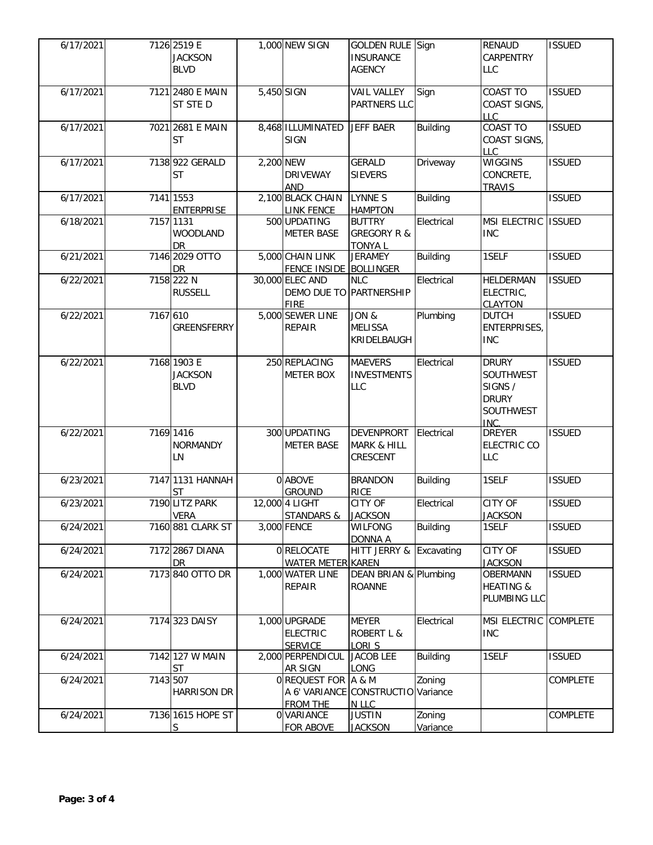| 6/17/2021 |          | 7126 2519 E<br><b>JACKSON</b><br><b>BLVD</b> |            | 1,000 NEW SIGN                                            | <b>GOLDEN RULE Sign</b><br><b>INSURANCE</b><br><b>AGENCY</b> |                    | <b>RENAUD</b><br>CARPENTRY<br><b>LLC</b>                                 | <b>ISSUED</b> |
|-----------|----------|----------------------------------------------|------------|-----------------------------------------------------------|--------------------------------------------------------------|--------------------|--------------------------------------------------------------------------|---------------|
| 6/17/2021 |          | 7121 2480 E MAIN<br>ST STE D                 | 5,450 SIGN |                                                           | <b>VAIL VALLEY</b><br><b>PARTNERS LLC</b>                    | Sign               | COAST TO<br>COAST SIGNS,<br><b>LLC</b>                                   | <b>ISSUED</b> |
| 6/17/2021 |          | 7021 2681 E MAIN<br><b>ST</b>                |            | 8,468 ILLUMINATED<br><b>SIGN</b>                          | <b>JEFF BAER</b>                                             | <b>Building</b>    | <b>COAST TO</b><br>COAST SIGNS,<br><b>LLC</b>                            | <b>ISSUED</b> |
| 6/17/2021 |          | 7138 922 GERALD<br><b>ST</b>                 | 2,200 NEW  | <b>DRIVEWAY</b><br><b>AND</b>                             | <b>GERALD</b><br><b>SIEVERS</b>                              | Driveway           | <b>WIGGINS</b><br>CONCRETE,<br><b>TRAVIS</b>                             | <b>ISSUED</b> |
| 6/17/2021 |          | 7141 1553<br><b>ENTERPRISE</b>               |            | 2,100 BLACK CHAIN<br><b>LINK FENCE</b>                    | <b>LYNNE S</b><br><b>HAMPTON</b>                             | Building           |                                                                          | <b>ISSUED</b> |
| 6/18/2021 |          | 7157 1131<br><b>WOODLAND</b><br><b>DR</b>    |            | 500 UPDATING<br><b>METER BASE</b>                         | <b>BUTTRY</b><br><b>GREGORY R &amp;</b><br><b>TONYAL</b>     | Electrical         | MSI ELECTRIC ISSUED<br><b>INC</b>                                        |               |
| 6/21/2021 |          | 7146 2029 OTTO<br>DR                         |            | 5,000 CHAIN LINK<br>FENCE INSIDE BOLLINGER                | <b>JERAMEY</b>                                               | <b>Building</b>    | 1SELF                                                                    | <b>ISSUED</b> |
| 6/22/2021 |          | 7158 222 N<br><b>RUSSELL</b>                 |            | 30,000 ELEC AND<br>DEMO DUE TO PARTNERSHIP<br><b>FIRE</b> | <b>NLC</b>                                                   | Electrical         | HELDERMAN<br>ELECTRIC,<br>CLAYTON                                        | <b>ISSUED</b> |
| 6/22/2021 | 7167 610 | GREENSFERRY                                  |            | 5,000 SEWER LINE<br><b>REPAIR</b>                         | JON &<br><b>MELISSA</b><br>KRIDELBAUGH                       | Plumbing           | <b>DUTCH</b><br>ENTERPRISES,<br><b>INC</b>                               | <b>ISSUED</b> |
| 6/22/2021 |          | 7168 1903 E<br><b>JACKSON</b><br><b>BLVD</b> |            | 250 REPLACING<br><b>METER BOX</b>                         | <b>MAEVERS</b><br><b>INVESTMENTS</b><br><b>LLC</b>           | Electrical         | <b>DRURY</b><br>SOUTHWEST<br>SIGNS/<br><b>DRURY</b><br>SOUTHWEST<br>INC. | <b>ISSUED</b> |
| 6/22/2021 |          | 7169 1416<br><b>NORMANDY</b><br>LN           |            | 300 UPDATING<br><b>METER BASE</b>                         | <b>DEVENPRORT</b><br><b>MARK &amp; HILL</b><br>CRESCENT      | Electrical         | <b>DREYER</b><br><b>ELECTRIC CO</b><br>LLC                               | <b>ISSUED</b> |
| 6/23/2021 |          | 7147 1131 HANNAH<br><b>ST</b>                |            | 0 ABOVE<br><b>GROUND</b>                                  | <b>BRANDON</b><br><b>RICE</b>                                | <b>Building</b>    | 1SELF                                                                    | <b>ISSUED</b> |
| 6/23/2021 |          | 7190 LITZ PARK<br><b>VERA</b>                |            | 12,000 4 LIGHT<br>STANDARS &                              | <b>CITY OF</b><br><b>JACKSON</b>                             | Electrical         | <b>CITY OF</b><br><b>JACKSON</b>                                         | <b>ISSUED</b> |
| 6/24/2021 |          | 7160 881 CLARK ST                            |            | 3,000 FENCE                                               | <b>WILFONG</b><br><b>DONNA A</b>                             | <b>Building</b>    | 1SELF                                                                    | <b>ISSUED</b> |
| 6/24/2021 |          | 7172 2867 DIANA<br>DR                        |            | 0RELOCATE<br>WATER METER KAREN                            | <b>HITT JERRY &amp;</b>                                      | Excavating         | <b>CITY OF</b><br><b>JACKSON</b>                                         | <b>ISSUED</b> |
| 6/24/2021 |          | 7173 840 OTTO DR                             |            | 1,000 WATER LINE<br><b>REPAIR</b>                         | DEAN BRIAN & Plumbing<br><b>ROANNE</b>                       |                    | <b>OBERMANN</b><br><b>HEATING &amp;</b><br>PLUMBING LLC                  | <b>ISSUED</b> |
| 6/24/2021 |          | 7174 323 DAISY                               |            | 1,000 UPGRADE<br><b>ELECTRIC</b><br><b>SERVICE</b>        | <b>MEYER</b><br><b>ROBERT L &amp;</b><br>LORI S              | Electrical         | MSI ELECTRIC COMPLETE<br><b>INC</b>                                      |               |
| 6/24/2021 |          | 7142 127 W MAIN<br><b>ST</b>                 |            | 2,000 PERPENDICUL<br>AR SIGN                              | <b>JACOB LEE</b><br>LONG                                     | <b>Building</b>    | 1SELF                                                                    | <b>ISSUED</b> |
| 6/24/2021 | 7143 507 | <b>HARRISON DR</b>                           |            | 0 REQUEST FOR A & M<br>A 6' VARIANCE<br><b>FROM THE</b>   | <b>CONSTRUCTIO</b><br>N LLC                                  | Zoning<br>Variance |                                                                          | COMPLETE      |
| 6/24/2021 |          | 7136 1615 HOPE ST<br>S                       |            | 0 VARIANCE<br><b>FOR ABOVE</b>                            | <b>JUSTIN</b><br><b>JACKSON</b>                              | Zoning<br>Variance |                                                                          | COMPLETE      |